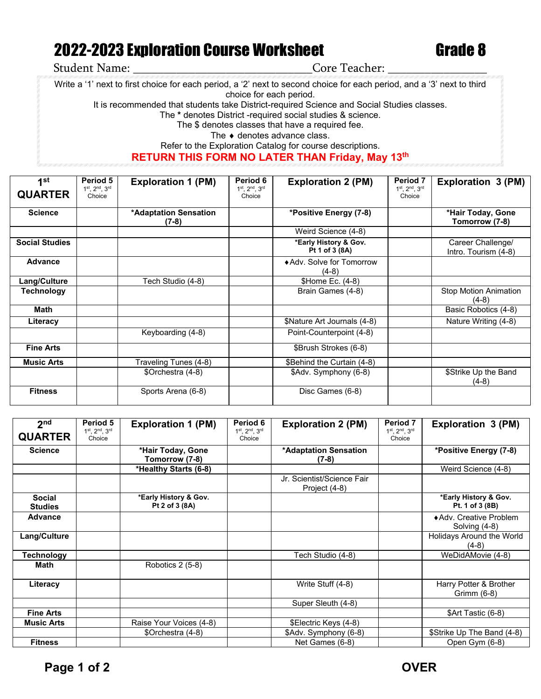## 2022-2023 Exploration Course Worksheet Grade 8

Student Name: \_\_\_\_\_\_\_\_\_\_\_\_\_\_\_\_\_\_\_\_\_\_\_\_\_\_\_\_\_Core Teacher: \_\_\_\_\_\_\_\_\_\_\_\_\_\_\_\_

Write a '1' next to first choice for each period, a '2' next to second choice for each period, and a '3' next to third

choice for each period.

It is recommended that students take District-required Science and Social Studies classes.

The **\*** denotes District -required social studies & science.

The \$ denotes classes that have a required fee.

The ♦ denotes advance class.

Refer to the Exploration Catalog for course descriptions.

## **RETURN THIS FORM NO LATER THAN Friday, May 13th**

| 1st                   | Period 5                | <b>Exploration 1 (PM)</b>        | Period 6                | <b>Exploration 2 (PM)</b>               | <b>Period 7</b>         | <b>Exploration 3 (PM)</b>                 |
|-----------------------|-------------------------|----------------------------------|-------------------------|-----------------------------------------|-------------------------|-------------------------------------------|
| <b>QUARTER</b>        | 1st, 2nd, 3rd<br>Choice |                                  | 1st, 2nd, 3rd<br>Choice |                                         | 1st. 2nd. 3rd<br>Choice |                                           |
| <b>Science</b>        |                         | *Adaptation Sensation<br>$(7-8)$ |                         | *Positive Energy (7-8)                  |                         | *Hair Today, Gone<br>Tomorrow (7-8)       |
|                       |                         |                                  |                         | Weird Science (4-8)                     |                         |                                           |
| <b>Social Studies</b> |                         |                                  |                         | *Early History & Gov.<br>Pt 1 of 3 (8A) |                         | Career Challenge/<br>Intro. Tourism (4-8) |
| Advance               |                         |                                  |                         | ◆ Adv. Solve for Tomorrow<br>$(4-8)$    |                         |                                           |
| Lang/Culture          |                         | Tech Studio (4-8)                |                         | \$Home Ec. (4-8)                        |                         |                                           |
| <b>Technology</b>     |                         |                                  |                         | Brain Games (4-8)                       |                         | <b>Stop Motion Animation</b><br>$(4-8)$   |
| <b>Math</b>           |                         |                                  |                         |                                         |                         | Basic Robotics (4-8)                      |
| Literacy              |                         |                                  |                         | \$Nature Art Journals (4-8)             |                         | Nature Writing (4-8)                      |
|                       |                         | Keyboarding (4-8)                |                         | Point-Counterpoint (4-8)                |                         |                                           |
| <b>Fine Arts</b>      |                         |                                  |                         | \$Brush Strokes (6-8)                   |                         |                                           |
| <b>Music Arts</b>     |                         | Traveling Tunes (4-8)            |                         | \$Behind the Curtain (4-8)              |                         |                                           |
|                       |                         | \$Orchestra (4-8)                |                         | \$Adv. Symphony (6-8)                   |                         | \$Strike Up the Band<br>$(4-8)$           |
| <b>Fitness</b>        |                         | Sports Arena (6-8)               |                         | Disc Games (6-8)                        |                         |                                           |

| 2 <sub>nd</sub>                 | Period 5                                 | <b>Exploration 1 (PM)</b>               | Period 6                                 | <b>Exploration 2 (PM)</b>                   | Period 7                                 | Exploration 3 (PM)                       |
|---------------------------------|------------------------------------------|-----------------------------------------|------------------------------------------|---------------------------------------------|------------------------------------------|------------------------------------------|
| <b>QUARTER</b>                  | $1^{st}$ , $2^{nd}$ , $3^{rd}$<br>Choice |                                         | $1^{st}$ , $2^{nd}$ , $3^{rd}$<br>Choice |                                             | $1^{st}$ , $2^{nd}$ , $3^{rd}$<br>Choice |                                          |
| <b>Science</b>                  |                                          | *Hair Today, Gone<br>Tomorrow (7-8)     |                                          | *Adaptation Sensation<br>$(7-8)$            |                                          | *Positive Energy (7-8)                   |
|                                 |                                          | *Healthy Starts (6-8)                   |                                          |                                             |                                          | Weird Science (4-8)                      |
|                                 |                                          |                                         |                                          | Jr. Scientist/Science Fair<br>Project (4-8) |                                          |                                          |
| <b>Social</b><br><b>Studies</b> |                                          | *Early History & Gov.<br>Pt 2 of 3 (8A) |                                          |                                             |                                          | *Early History & Gov.<br>Pt. 1 of 3 (8B) |
| <b>Advance</b>                  |                                          |                                         |                                          |                                             |                                          | ◆ Adv. Creative Problem<br>Solving (4-8) |
| Lang/Culture                    |                                          |                                         |                                          |                                             |                                          | Holidays Around the World<br>$(4-8)$     |
| Technology                      |                                          |                                         |                                          | Tech Studio (4-8)                           |                                          | WeDidAMovie (4-8)                        |
| Math                            |                                          | Robotics 2 (5-8)                        |                                          |                                             |                                          |                                          |
| Literacy                        |                                          |                                         |                                          | Write Stuff (4-8)                           |                                          | Harry Potter & Brother<br>Grimm (6-8)    |
|                                 |                                          |                                         |                                          | Super Sleuth (4-8)                          |                                          |                                          |
| <b>Fine Arts</b>                |                                          |                                         |                                          |                                             |                                          | \$Art Tastic (6-8)                       |
| <b>Music Arts</b>               |                                          | Raise Your Voices (4-8)                 |                                          | \$Electric Keys (4-8)                       |                                          |                                          |
|                                 |                                          | \$Orchestra (4-8)                       |                                          | \$Adv. Symphony (6-8)                       |                                          | \$Strike Up The Band (4-8)               |
| <b>Fitness</b>                  |                                          |                                         |                                          | Net Games (6-8)                             |                                          | Open Gym (6-8)                           |

Page 1 of 2 OVER